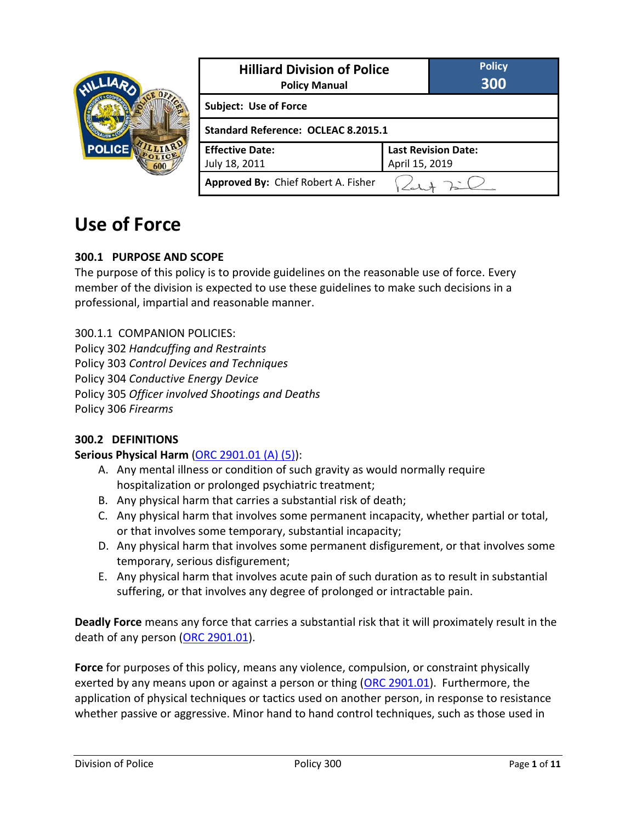

# **Use of Force**

#### **300.1 PURPOSE AND SCOPE**

The purpose of this policy is to provide guidelines on the reasonable use of force. Every member of the division is expected to use these guidelines to make such decisions in a professional, impartial and reasonable manner.

300.1.1 COMPANION POLICIES: Policy 302 *Handcuffing and Restraints* Policy 303 *Control Devices and Techniques* Policy 304 *Conductive Energy Device* Policy 305 *Officer involved Shootings and Deaths* Policy 306 *Firearms*

#### **300.2 DEFINITIONS**

#### **Serious Physical Harm** [\(ORC 2901.01 \(A\) \(5\)\)](http://codes.ohio.gov/orc/2901.01):

- A. Any mental illness or condition of such gravity as would normally require hospitalization or prolonged psychiatric treatment;
- B. Any physical harm that carries a substantial risk of death;
- C. Any physical harm that involves some permanent incapacity, whether partial or total, or that involves some temporary, substantial incapacity;
- D. Any physical harm that involves some permanent disfigurement, or that involves some temporary, serious disfigurement;
- E. Any physical harm that involves acute pain of such duration as to result in substantial suffering, or that involves any degree of prolonged or intractable pain.

**Deadly Force** means any force that carries a substantial risk that it will proximately result in the death of any person [\(ORC 2901.01\)](http://codes.ohio.gov/orc/2901.01).

**Force** for purposes of this policy, means any violence, compulsion, or constraint physically exerted by any means upon or against a person or thing [\(ORC 2901.01\)](http://codes.ohio.gov/orc/2901.01). Furthermore, the application of physical techniques or tactics used on another person, in response to resistance whether passive or aggressive. Minor hand to hand control techniques, such as those used in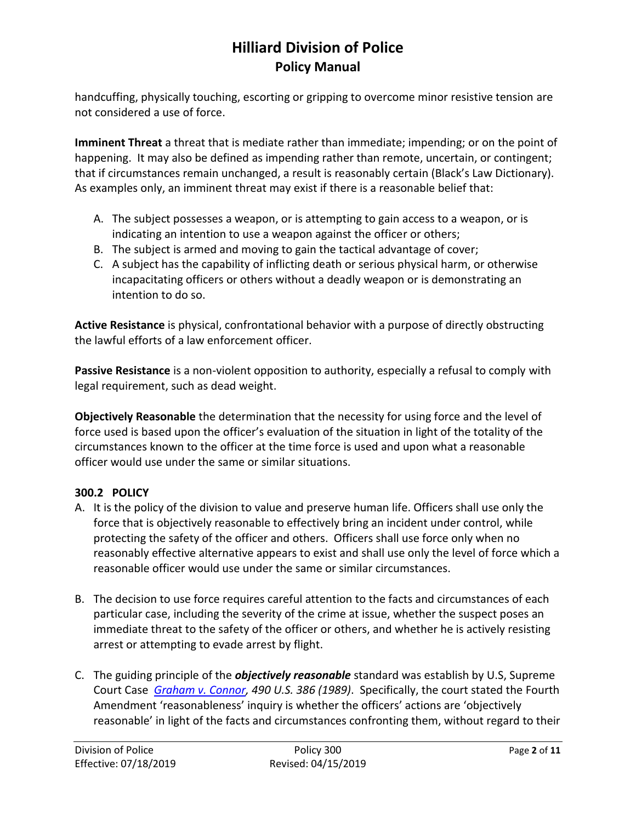handcuffing, physically touching, escorting or gripping to overcome minor resistive tension are not considered a use of force.

**Imminent Threat** a threat that is mediate rather than immediate; impending; or on the point of happening. It may also be defined as impending rather than remote, uncertain, or contingent; that if circumstances remain unchanged, a result is reasonably certain (Black's Law Dictionary). As examples only, an imminent threat may exist if there is a reasonable belief that:

- A. The subject possesses a weapon, or is attempting to gain access to a weapon, or is indicating an intention to use a weapon against the officer or others;
- B. The subject is armed and moving to gain the tactical advantage of cover;
- C. A subject has the capability of inflicting death or serious physical harm, or otherwise incapacitating officers or others without a deadly weapon or is demonstrating an intention to do so.

**Active Resistance** is physical, confrontational behavior with a purpose of directly obstructing the lawful efforts of a law enforcement officer.

**Passive Resistance** is a non-violent opposition to authority, especially a refusal to comply with legal requirement, such as dead weight.

**Objectively Reasonable** the determination that the necessity for using force and the level of force used is based upon the officer's evaluation of the situation in light of the totality of the circumstances known to the officer at the time force is used and upon what a reasonable officer would use under the same or similar situations.

### **300.2 POLICY**

- A. It is the policy of the division to value and preserve human life. Officers shall use only the force that is objectively reasonable to effectively bring an incident under control, while protecting the safety of the officer and others. Officers shall use force only when no reasonably effective alternative appears to exist and shall use only the level of force which a reasonable officer would use under the same or similar circumstances.
- B. The decision to use force requires careful attention to the facts and circumstances of each particular case, including the severity of the crime at issue, whether the suspect poses an immediate threat to the safety of the officer or others, and whether he is actively resisting arrest or attempting to evade arrest by flight.
- C. The guiding principle of the *objectively reasonable* standard was establish by U.S, Supreme Court Case *[Graham v. Connor,](https://caselaw.findlaw.com/us-supreme-court/490/386.html) 490 U.S. 386 (1989)*. Specifically, the court stated the Fourth Amendment 'reasonableness' inquiry is whether the officers' actions are 'objectively reasonable' in light of the facts and circumstances confronting them, without regard to their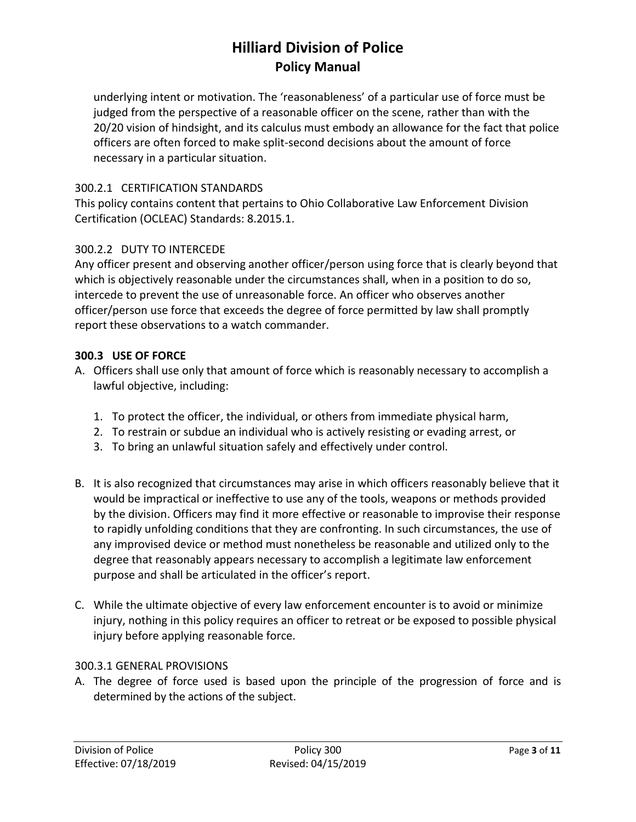underlying intent or motivation. The 'reasonableness' of a particular use of force must be judged from the perspective of a reasonable officer on the scene, rather than with the 20/20 vision of hindsight, and its calculus must embody an allowance for the fact that police officers are often forced to make split-second decisions about the amount of force necessary in a particular situation.

### 300.2.1 CERTIFICATION STANDARDS

This policy contains content that pertains to Ohio Collaborative Law Enforcement Division Certification (OCLEAC) Standards: 8.2015.1.

### 300.2.2 DUTY TO INTERCEDE

Any officer present and observing another officer/person using force that is clearly beyond that which is objectively reasonable under the circumstances shall, when in a position to do so, intercede to prevent the use of unreasonable force. An officer who observes another officer/person use force that exceeds the degree of force permitted by law shall promptly report these observations to a watch commander.

#### **300.3 USE OF FORCE**

- A. Officers shall use only that amount of force which is reasonably necessary to accomplish a lawful objective, including:
	- 1. To protect the officer, the individual, or others from immediate physical harm,
	- 2. To restrain or subdue an individual who is actively resisting or evading arrest, or
	- 3. To bring an unlawful situation safely and effectively under control.
- B. It is also recognized that circumstances may arise in which officers reasonably believe that it would be impractical or ineffective to use any of the tools, weapons or methods provided by the division. Officers may find it more effective or reasonable to improvise their response to rapidly unfolding conditions that they are confronting. In such circumstances, the use of any improvised device or method must nonetheless be reasonable and utilized only to the degree that reasonably appears necessary to accomplish a legitimate law enforcement purpose and shall be articulated in the officer's report.
- C. While the ultimate objective of every law enforcement encounter is to avoid or minimize injury, nothing in this policy requires an officer to retreat or be exposed to possible physical injury before applying reasonable force.

#### 300.3.1 GENERAL PROVISIONS

A. The degree of force used is based upon the principle of the progression of force and is determined by the actions of the subject.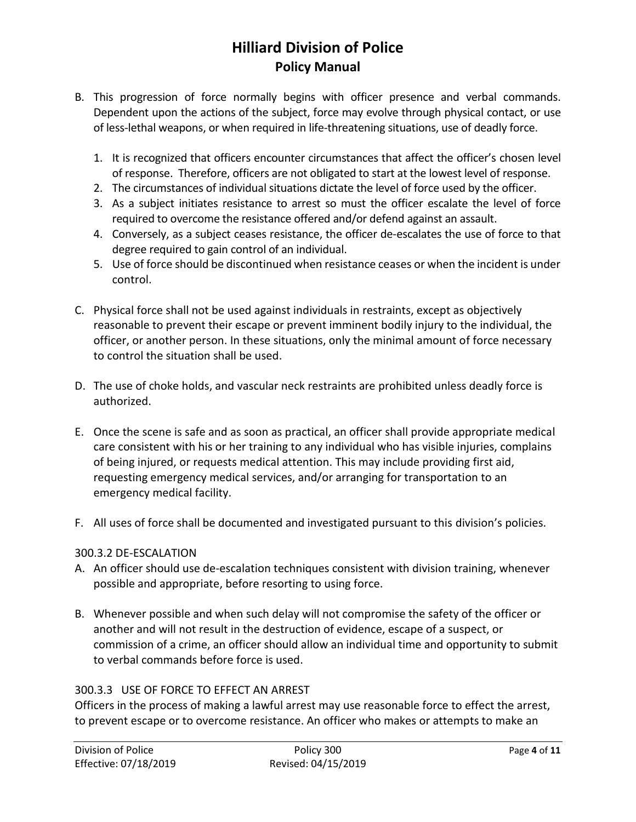- B. This progression of force normally begins with officer presence and verbal commands. Dependent upon the actions of the subject, force may evolve through physical contact, or use of less-lethal weapons, or when required in life-threatening situations, use of deadly force.
	- 1. It is recognized that officers encounter circumstances that affect the officer's chosen level of response. Therefore, officers are not obligated to start at the lowest level of response.
	- 2. The circumstances of individual situations dictate the level of force used by the officer.
	- 3. As a subject initiates resistance to arrest so must the officer escalate the level of force required to overcome the resistance offered and/or defend against an assault.
	- 4. Conversely, as a subject ceases resistance, the officer de-escalates the use of force to that degree required to gain control of an individual.
	- 5. Use of force should be discontinued when resistance ceases or when the incident is under control.
- C. Physical force shall not be used against individuals in restraints, except as objectively reasonable to prevent their escape or prevent imminent bodily injury to the individual, the officer, or another person. In these situations, only the minimal amount of force necessary to control the situation shall be used.
- D. The use of choke holds, and vascular neck restraints are prohibited unless deadly force is authorized.
- E. Once the scene is safe and as soon as practical, an officer shall provide appropriate medical care consistent with his or her training to any individual who has visible injuries, complains of being injured, or requests medical attention. This may include providing first aid, requesting emergency medical services, and/or arranging for transportation to an emergency medical facility.
- F. All uses of force shall be documented and investigated pursuant to this division's policies.

#### 300.3.2 DE-ESCALATION

- A. An officer should use de-escalation techniques consistent with division training, whenever possible and appropriate, before resorting to using force.
- B. Whenever possible and when such delay will not compromise the safety of the officer or another and will not result in the destruction of evidence, escape of a suspect, or commission of a crime, an officer should allow an individual time and opportunity to submit to verbal commands before force is used.

### 300.3.3 USE OF FORCE TO EFFECT AN ARREST

Officers in the process of making a lawful arrest may use reasonable force to effect the arrest, to prevent escape or to overcome resistance. An officer who makes or attempts to make an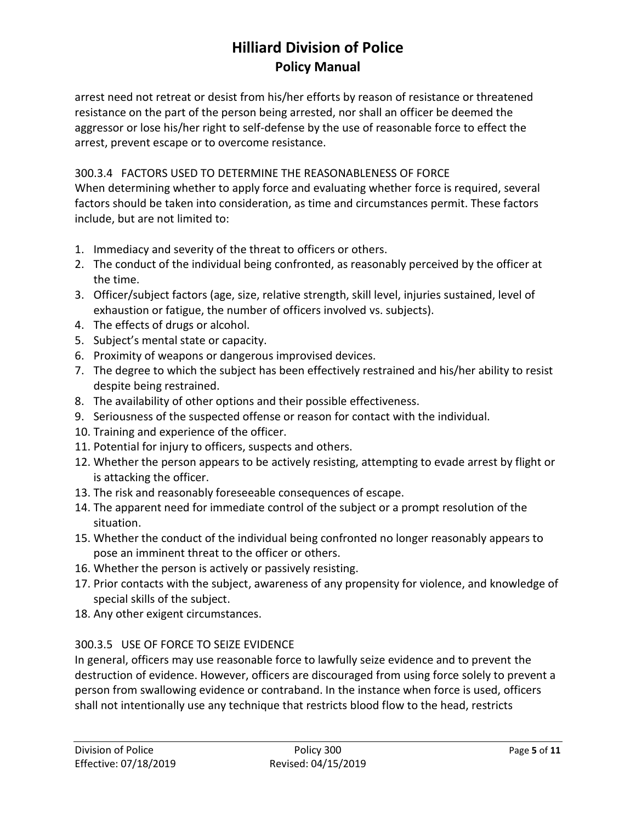arrest need not retreat or desist from his/her efforts by reason of resistance or threatened resistance on the part of the person being arrested, nor shall an officer be deemed the aggressor or lose his/her right to self-defense by the use of reasonable force to effect the arrest, prevent escape or to overcome resistance.

### 300.3.4 FACTORS USED TO DETERMINE THE REASONABLENESS OF FORCE

When determining whether to apply force and evaluating whether force is required, several factors should be taken into consideration, as time and circumstances permit. These factors include, but are not limited to:

- 1. Immediacy and severity of the threat to officers or others.
- 2. The conduct of the individual being confronted, as reasonably perceived by the officer at the time.
- 3. Officer/subject factors (age, size, relative strength, skill level, injuries sustained, level of exhaustion or fatigue, the number of officers involved vs. subjects).
- 4. The effects of drugs or alcohol.
- 5. Subject's mental state or capacity.
- 6. Proximity of weapons or dangerous improvised devices.
- 7. The degree to which the subject has been effectively restrained and his/her ability to resist despite being restrained.
- 8. The availability of other options and their possible effectiveness.
- 9. Seriousness of the suspected offense or reason for contact with the individual.
- 10. Training and experience of the officer.
- 11. Potential for injury to officers, suspects and others.
- 12. Whether the person appears to be actively resisting, attempting to evade arrest by flight or is attacking the officer.
- 13. The risk and reasonably foreseeable consequences of escape.
- 14. The apparent need for immediate control of the subject or a prompt resolution of the situation.
- 15. Whether the conduct of the individual being confronted no longer reasonably appears to pose an imminent threat to the officer or others.
- 16. Whether the person is actively or passively resisting.
- 17. Prior contacts with the subject, awareness of any propensity for violence, and knowledge of special skills of the subject.
- 18. Any other exigent circumstances.

### 300.3.5 USE OF FORCE TO SEIZE EVIDENCE

In general, officers may use reasonable force to lawfully seize evidence and to prevent the destruction of evidence. However, officers are discouraged from using force solely to prevent a person from swallowing evidence or contraband. In the instance when force is used, officers shall not intentionally use any technique that restricts blood flow to the head, restricts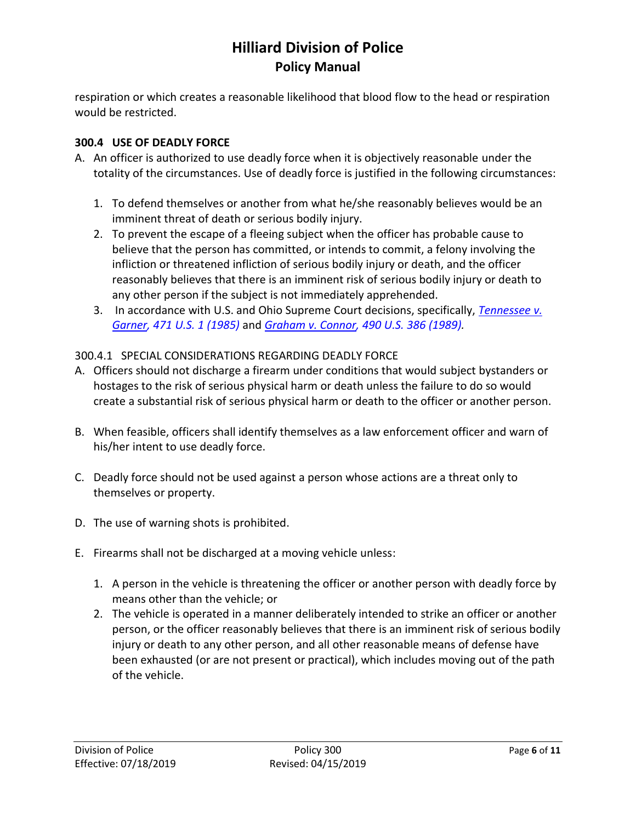respiration or which creates a reasonable likelihood that blood flow to the head or respiration would be restricted.

### **300.4 USE OF DEADLY FORCE**

- A. An officer is authorized to use deadly force when it is objectively reasonable under the totality of the circumstances. Use of deadly force is justified in the following circumstances:
	- 1. To defend themselves or another from what he/she reasonably believes would be an imminent threat of death or serious bodily injury.
	- 2. To prevent the escape of a fleeing subject when the officer has probable cause to believe that the person has committed, or intends to commit, a felony involving the infliction or threatened infliction of serious bodily injury or death, and the officer reasonably believes that there is an imminent risk of serious bodily injury or death to any other person if the subject is not immediately apprehended.
	- 3. In accordance with U.S. and Ohio Supreme Court decisions, specifically, *[Tennessee v.](https://caselaw.findlaw.com/us-supreme-court/471/1.html)  [Garner,](https://caselaw.findlaw.com/us-supreme-court/471/1.html) 471 U.S. 1 (1985)* and *[Graham v. Connor,](https://caselaw.findlaw.com/us-supreme-court/490/386.html) 490 U.S. 386 (1989).*

### 300.4.1 SPECIAL CONSIDERATIONS REGARDING DEADLY FORCE

- A. Officers should not discharge a firearm under conditions that would subject bystanders or hostages to the risk of serious physical harm or death unless the failure to do so would create a substantial risk of serious physical harm or death to the officer or another person.
- B. When feasible, officers shall identify themselves as a law enforcement officer and warn of his/her intent to use deadly force.
- C. Deadly force should not be used against a person whose actions are a threat only to themselves or property.
- D. The use of warning shots is prohibited.
- E. Firearms shall not be discharged at a moving vehicle unless:
	- 1. A person in the vehicle is threatening the officer or another person with deadly force by means other than the vehicle; or
	- 2. The vehicle is operated in a manner deliberately intended to strike an officer or another person, or the officer reasonably believes that there is an imminent risk of serious bodily injury or death to any other person, and all other reasonable means of defense have been exhausted (or are not present or practical), which includes moving out of the path of the vehicle.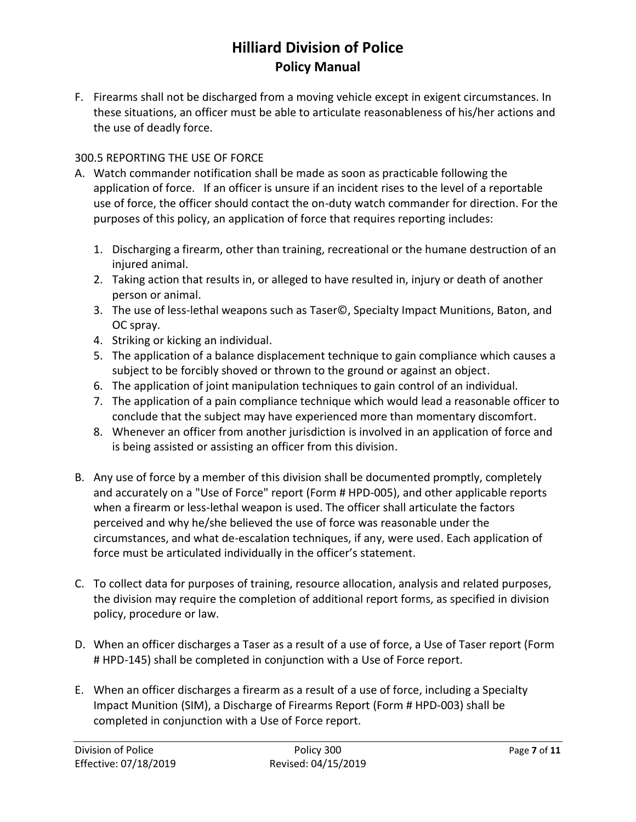F. Firearms shall not be discharged from a moving vehicle except in exigent circumstances. In these situations, an officer must be able to articulate reasonableness of his/her actions and the use of deadly force.

### 300.5 REPORTING THE USE OF FORCE

- A. Watch commander notification shall be made as soon as practicable following the application of force. If an officer is unsure if an incident rises to the level of a reportable use of force, the officer should contact the on-duty watch commander for direction. For the purposes of this policy, an application of force that requires reporting includes:
	- 1. Discharging a firearm, other than training, recreational or the humane destruction of an injured animal.
	- 2. Taking action that results in, or alleged to have resulted in, injury or death of another person or animal.
	- 3. The use of less-lethal weapons such as Taser©, Specialty Impact Munitions, Baton, and OC spray.
	- 4. Striking or kicking an individual.
	- 5. The application of a balance displacement technique to gain compliance which causes a subject to be forcibly shoved or thrown to the ground or against an object.
	- 6. The application of joint manipulation techniques to gain control of an individual.
	- 7. The application of a pain compliance technique which would lead a reasonable officer to conclude that the subject may have experienced more than momentary discomfort.
	- 8. Whenever an officer from another jurisdiction is involved in an application of force and is being assisted or assisting an officer from this division.
- B. Any use of force by a member of this division shall be documented promptly, completely and accurately on a "Use of Force" report (Form # HPD-005), and other applicable reports when a firearm or less-lethal weapon is used. The officer shall articulate the factors perceived and why he/she believed the use of force was reasonable under the circumstances, and what de-escalation techniques, if any, were used. Each application of force must be articulated individually in the officer's statement.
- C. To collect data for purposes of training, resource allocation, analysis and related purposes, the division may require the completion of additional report forms, as specified in division policy, procedure or law.
- D. When an officer discharges a Taser as a result of a use of force, a Use of Taser report (Form # HPD-145) shall be completed in conjunction with a Use of Force report.
- E. When an officer discharges a firearm as a result of a use of force, including a Specialty Impact Munition (SIM), a Discharge of Firearms Report (Form # HPD-003) shall be completed in conjunction with a Use of Force report.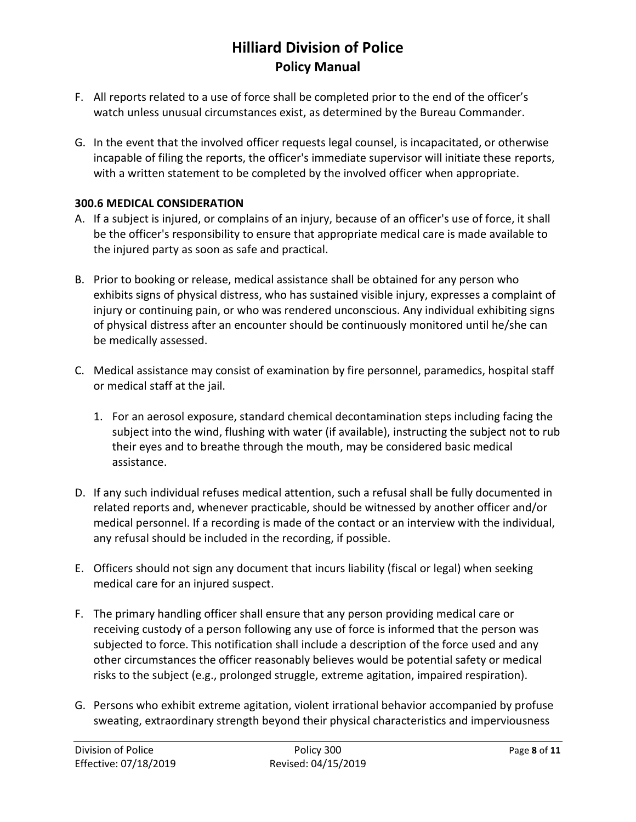- F. All reports related to a use of force shall be completed prior to the end of the officer's watch unless unusual circumstances exist, as determined by the Bureau Commander.
- G. In the event that the involved officer requests legal counsel, is incapacitated, or otherwise incapable of filing the reports, the officer's immediate supervisor will initiate these reports, with a written statement to be completed by the involved officer when appropriate.

#### **300.6 MEDICAL CONSIDERATION**

- A. If a subject is injured, or complains of an injury, because of an officer's use of force, it shall be the officer's responsibility to ensure that appropriate medical care is made available to the injured party as soon as safe and practical.
- B. Prior to booking or release, medical assistance shall be obtained for any person who exhibits signs of physical distress, who has sustained visible injury, expresses a complaint of injury or continuing pain, or who was rendered unconscious. Any individual exhibiting signs of physical distress after an encounter should be continuously monitored until he/she can be medically assessed.
- C. Medical assistance may consist of examination by fire personnel, paramedics, hospital staff or medical staff at the jail.
	- 1. For an aerosol exposure, standard chemical decontamination steps including facing the subject into the wind, flushing with water (if available), instructing the subject not to rub their eyes and to breathe through the mouth, may be considered basic medical assistance.
- D. If any such individual refuses medical attention, such a refusal shall be fully documented in related reports and, whenever practicable, should be witnessed by another officer and/or medical personnel. If a recording is made of the contact or an interview with the individual, any refusal should be included in the recording, if possible.
- E. Officers should not sign any document that incurs liability (fiscal or legal) when seeking medical care for an injured suspect.
- F. The primary handling officer shall ensure that any person providing medical care or receiving custody of a person following any use of force is informed that the person was subjected to force. This notification shall include a description of the force used and any other circumstances the officer reasonably believes would be potential safety or medical risks to the subject (e.g., prolonged struggle, extreme agitation, impaired respiration).
- G. Persons who exhibit extreme agitation, violent irrational behavior accompanied by profuse sweating, extraordinary strength beyond their physical characteristics and imperviousness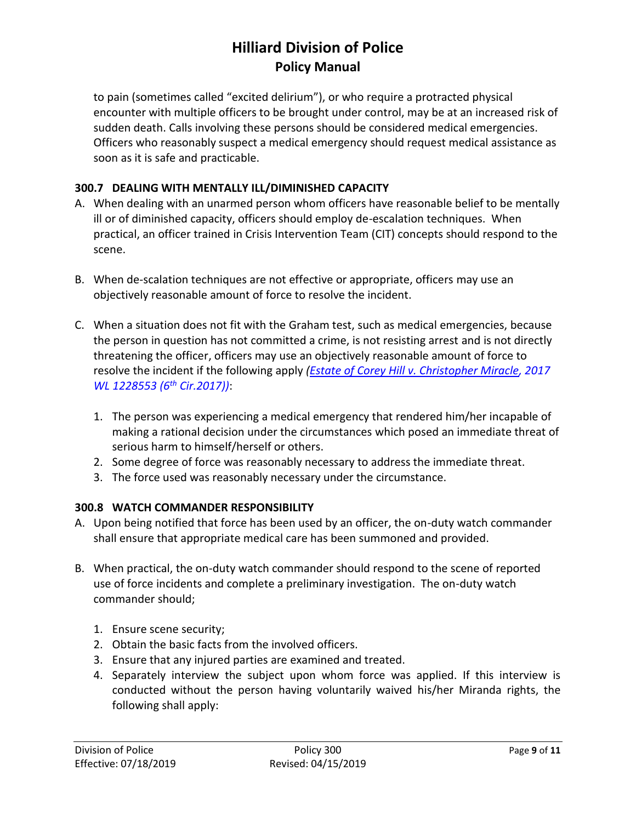to pain (sometimes called "excited delirium"), or who require a protracted physical encounter with multiple officers to be brought under control, may be at an increased risk of sudden death. Calls involving these persons should be considered medical emergencies. Officers who reasonably suspect a medical emergency should request medical assistance as soon as it is safe and practicable.

### **300.7 DEALING WITH MENTALLY ILL/DIMINISHED CAPACITY**

- A. When dealing with an unarmed person whom officers have reasonable belief to be mentally ill or of diminished capacity, officers should employ de-escalation techniques. When practical, an officer trained in Crisis Intervention Team (CIT) concepts should respond to the scene.
- B. When de-scalation techniques are not effective or appropriate, officers may use an objectively reasonable amount of force to resolve the incident.
- C. When a situation does not fit with the Graham test, such as medical emergencies, because the person in question has not committed a crime, is not resisting arrest and is not directly threatening the officer, officers may use an objectively reasonable amount of force to resolve the incident if the following apply *[\(Estate of Corey Hill v. Christopher Miracle,](https://caselaw.findlaw.com/us-6th-circuit/1855329.html) 2017 WL 1228553 (6th Cir.2017))*:
	- 1. The person was experiencing a medical emergency that rendered him/her incapable of making a rational decision under the circumstances which posed an immediate threat of serious harm to himself/herself or others.
	- 2. Some degree of force was reasonably necessary to address the immediate threat.
	- 3. The force used was reasonably necessary under the circumstance.

### **300.8 WATCH COMMANDER RESPONSIBILITY**

- A. Upon being notified that force has been used by an officer, the on-duty watch commander shall ensure that appropriate medical care has been summoned and provided.
- B. When practical, the on-duty watch commander should respond to the scene of reported use of force incidents and complete a preliminary investigation. The on-duty watch commander should;
	- 1. Ensure scene security;
	- 2. Obtain the basic facts from the involved officers.
	- 3. Ensure that any injured parties are examined and treated.
	- 4. Separately interview the subject upon whom force was applied. If this interview is conducted without the person having voluntarily waived his/her Miranda rights, the following shall apply: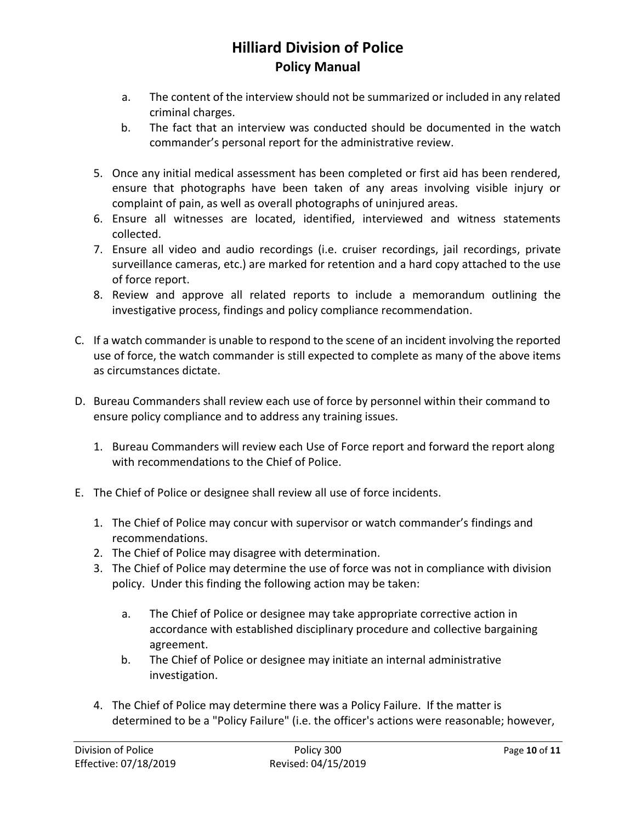- a. The content of the interview should not be summarized or included in any related criminal charges.
- b. The fact that an interview was conducted should be documented in the watch commander's personal report for the administrative review.
- 5. Once any initial medical assessment has been completed or first aid has been rendered, ensure that photographs have been taken of any areas involving visible injury or complaint of pain, as well as overall photographs of uninjured areas.
- 6. Ensure all witnesses are located, identified, interviewed and witness statements collected.
- 7. Ensure all video and audio recordings (i.e. cruiser recordings, jail recordings, private surveillance cameras, etc.) are marked for retention and a hard copy attached to the use of force report.
- 8. Review and approve all related reports to include a memorandum outlining the investigative process, findings and policy compliance recommendation.
- C. If a watch commander is unable to respond to the scene of an incident involving the reported use of force, the watch commander is still expected to complete as many of the above items as circumstances dictate.
- D. Bureau Commanders shall review each use of force by personnel within their command to ensure policy compliance and to address any training issues.
	- 1. Bureau Commanders will review each Use of Force report and forward the report along with recommendations to the Chief of Police.
- E. The Chief of Police or designee shall review all use of force incidents.
	- 1. The Chief of Police may concur with supervisor or watch commander's findings and recommendations.
	- 2. The Chief of Police may disagree with determination.
	- 3. The Chief of Police may determine the use of force was not in compliance with division policy. Under this finding the following action may be taken:
		- a. The Chief of Police or designee may take appropriate corrective action in accordance with established disciplinary procedure and collective bargaining agreement.
		- b. The Chief of Police or designee may initiate an internal administrative investigation.
	- 4. The Chief of Police may determine there was a Policy Failure. If the matter is determined to be a "Policy Failure" (i.e. the officer's actions were reasonable; however,